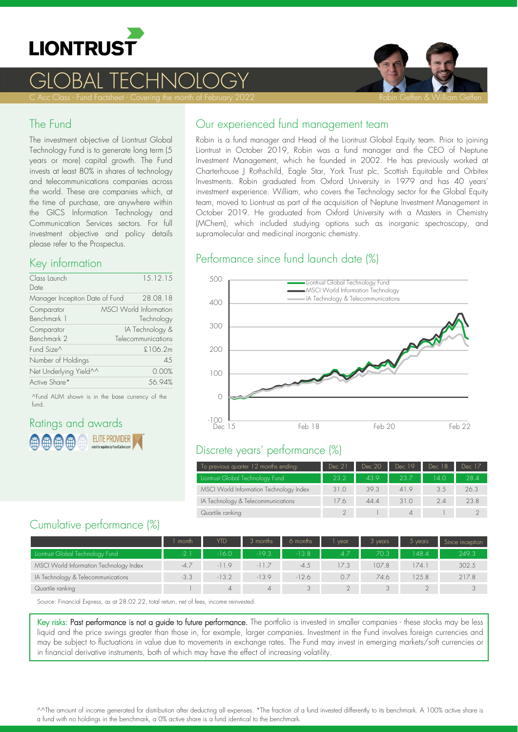

# GLOBAL TECHNOLOGY



### The Fund

The investment objective of Liontrust Global Technology Fund is to generate long term (5 years or more) capital growth. The Fund invests at least 80% in shares of technology and telecommunications companies across the world. These are companies which, at the time of purchase, are anywhere within the GICS Information Technology and Communication Services sectors. For full investment objective and policy details please refer to the Prospectus.

## Key information

| Class Launch<br>Date           | 15.12.15                                    |
|--------------------------------|---------------------------------------------|
| Manager Inception Date of Fund | 28.08.18                                    |
| Comparator<br>Benchmark 1      | <b>MSCI World Information</b><br>Technology |
| Comparator<br>Benchmark 2      | IA Technology &<br>Telecommunications       |
| Fund Size^                     | £106.2m                                     |
| Number of Holdings             | 4.5                                         |
| Net Underlying Yield^^         | 0.00%                                       |
| Active Share*                  | 56.94%                                      |

^Fund AUM shown is in the base currency of the fund.

# Ratings and awards **ELITE PROVIDER**

### Our experienced fund management team

Robin is a fund manager and Head of the Liontrust Global Equity team. Prior to joining Liontrust in October 2019, Robin was a fund manager and the CEO of Neptune Investment Management, which he founded in 2002. He has previously worked at Charterhouse J Rothschild, Eagle Star, York Trust plc, Scottish Equitable and Orbitex Investments. Robin graduated from Oxford University in 1979 and has 40 years' investment experience. William, who covers the Technology sector for the Global Equity team, moved to Liontrust as part of the acquisition of Neptune Investment Management in October 2019. He graduated from Oxford University with a Masters in Chemistry (MChem), which included studying options such as inorganic spectroscopy, and supramolecular and medicinal inorganic chemistry.

### Performance since fund launch date (%)



# Discrete years' performance (%)

| To previous quarter 12 months ending:   | Dec 21 | Dec 20 | Dec 19 | Dec 18 | Dec 17 |
|-----------------------------------------|--------|--------|--------|--------|--------|
| Liontrust Global Technology Fund        | 23.2   | 43.9   | 23.7   | 14 O   | 28.4   |
| MSCI World Information Technology Index | 31.0   | 39.3   | 41.9   | 3.5    | 26.3   |
| IA Technology & Telecommunications      | 17.6   | 44.4   | 31.0   | 24     | 23.8   |
| Quartile ranking                        |        |        |        |        |        |

# Cumulative performance (%)

|                                         | l month. | YTD     | 3 months | 6 months | vear | 3 years | 5 years | Since inception |
|-----------------------------------------|----------|---------|----------|----------|------|---------|---------|-----------------|
| Liontrust Global Technology Fund        | $-2.1$   | $-16.0$ | $-19.3$  | $-13.8$  | 4.7  | 70.3    | 148.4   | 249.3           |
| MSCI World Information Technology Index | $-4.7$   | $-119$  | $-11.7$  | $-4.5$   | 17.3 | 107.8   | 174.1   | 302.5           |
| IA Technology & Telecommunications      | $-3.3$   | $-13.2$ | $-13.9$  | $-12.6$  | 0.7  | 74.6    | 125.8   | 217.8           |
| Quartile ranking                        |          | ⊿       |          |          |      |         |         |                 |

Source: Financial Express, as at 28.02.22, total return, net of fees, income reinvested

Key risks: Past performance is not a guide to future performance. The portfolio is invested in smaller companies - these stocks may be less liquid and the price swings greater than those in, for example, larger companies. Investment in the Fund involves foreign currencies and may be subject to fluctuations in value due to movements in exchange rates. The Fund may invest in emerging markets/soft currencies or in financial derivative instruments, both of which may have the effect of increasing volatility.

^^The amount of income generated for distribution after deducting all expenses. \*The fraction of a fund invested differently to its benchmark. A 100% active share is a fund with no holdings in the benchmark, a 0% active share is a fund identical to the benchmark.